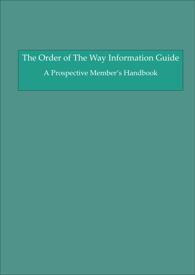# The Order of The Way Information Guide

## A Prospective Member's Handbook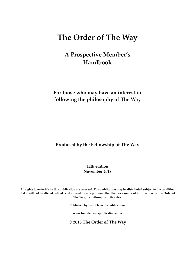### **The Order of The Way**

### **A Prospective Member's Handbook**

**For those who may have an interest in following the philosophy of The Way**

**Produced by the Fellowship of The Way**

**12th edition November 2018**

**All rights to materials in this publication are reserved. This publication may be distributed subject to the condition that it will not be altered, edited, sold or used for any purpose other than as a source of information on the Order of The Way, its philosophy or its rules.**

**Published by Four Elements Publications**

**www.fourelementspublications.com**

**© 2018 The Order of The Way**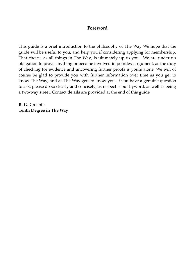#### **Foreword**

This guide is a brief introduction to the philosophy of The Way We hope that the guide will be useful to you, and help you if considering applying for membership. That choice, as all things in The Way, is ultimately up to you. We are under no obligation to prove anything or become involved in pointless argument, as the duty of checking for evidence and uncovering further proofs is yours alone. We will of course be glad to provide you with further information over time as you get to know The Way, and as The Way gets to know you. If you have a genuine question to ask, please do so clearly and concisely, as respect is our byword, as well as being a two-way street. Contact details are provided at the end of this guide

**R. G. Crosbie Tenth Degree in The Way**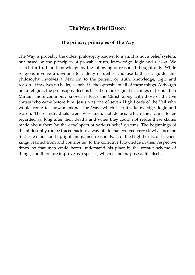#### **The Way: A Brief History**

#### **The primary principles of The Way**

The Way is probably the oldest philosophy known to man. It is not a belief system, but based on the principles of provable truth, knowledge, logic and reason. We search for truth and knowledge by the following of reasoned thought only. While religions involve a devotion to a deity or deities and use faith as a guide, this philosophy involves a devotion to the pursuit of truth, knowledge, logic and reason. It involves no belief, as belief is the opposite of all of these things. Although not a religion, the philosophy itself is based on the original teachings of Joshua Ben Miriam, more commonly known as Jesus the Christ, along with those of the five christs who came before him. Jesus was one of seven High Lords of the Veil who would come to show mankind The Way; which is truth, knowledge, logic and reason. These individuals were wise men, not deities, which they came to be regarded as, long after their deaths and when they could not refute these claims made about them by the developers of various belief systems. The beginnings of the philosophy can be traced back to a way of life that evolved very slowly since the first true man stood upright and gained reason. Each of the High Lords, or teacherkings, learned from and contributed to the collective knowledge in their respective times, so that man could better understand his place in the greater scheme of things, and therefore improve as a species, which is the purpose of life itself.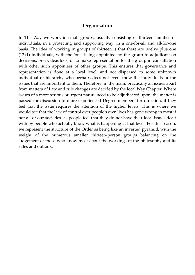#### **Organisation**

In The Way we work in small groups, usually consisting of thirteen families or individuals, in a protecting and supporting way, in a one-for-all and all-for-one basis. The idea of working in groups of thirteen is that there are twelve plus one (12+1) individuals, with the 'one' being appointed by the group to adjudicate on decisions, break deadlock, or to make representation for the group in consultation with other such appointees of other groups. This ensures that governance and representation is done at a local level, and not dispersed to some unknown individual or hierarchy who perhaps does not even know the individuals or the issues that are important to them. Therefore, in the main, practically all issues apart from matters of Law and rule changes are decided by the local Way Chapter. Where issues of a more serious or urgent nature need to be adjudicated upon, the matter is passed for discussion to more experienced Degree members for direction, if they feel that the issue requires the attention of the higher levels. This is where we would see that the lack of control over people's own lives has gone wrong in most if not all of our societies, as people feel that they do not have their local issues dealt with by people who actually know what is happening at that level. For this reason, we represent the structure of the Order as being like an inverted pyramid, with the weight of the numerous smaller thirteen-person groups balancing on the judgement of those who know most about the workings of the philosophy and its rules and outlook.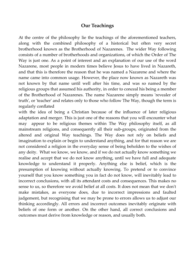#### **Our Teachings**

At the centre of the philosophy lie the teachings of the aforementioned teachers, along with the combined philosophy of a historical but often very secret brotherhood known as the Brotherhood of Nazarenes. The wider Way following consists of a number of brotherhoods and organizations, of which the Order of The Way is just one. As a point of interest and an explanation of our use of the word Nazarene, most people in modern times believe Jesus to have lived in Nazareth, and that this is therefore the reason that he was named a Nazarene and where the name came into common usage. However, the place now known as Nazareth was not known by that name until well after his time, and was so named by the religious groups that assumed his authority, in order to conceal his being a member of the Brotherhood of Nazarenes. The name Nazarene simply means 'revealer of truth', or 'teacher' and relates only to those who follow The Way, though the term is regularly conflated

with the idea of being a Christian because of the influence of later religious adaptation and merger. This is just one of the reasons that you will encounter what may appear to be religious themes within The Way philosophy itself, as all mainstream religions, and consequently all their sub-groups, originated from the altered and original Way teachings. The Way does not rely on beliefs and imagination to explain or begin to understand anything, and for that reason we are not considered a religion in the everyday sense of being beholden to the wishes of any deity. What we know, we know, and if we do not actually know something we realise and accept that we do not know anything, until we have full and adequate knowledge to understand it properly. Anything else is belief, which is the presumption of knowing without actually knowing. To pretend or to convince yourself that you know something you in fact do not know, will inevitably lead to incorrect conclusions, with all its attendant costs and consequences. This makes no sense to us, so therefore we avoid belief at all costs. It does not mean that we don't make mistakes, as everyone does, due to incorrect impressions and faulted judgement, but recognising that we may be prone to errors allows us to adjust our thinking accordingly. All errors and incorrect outcomes inevitably originate with beliefs of one form or another. On the other hand, all correct conclusions and outcomes must derive from knowledge or reason, and usually both.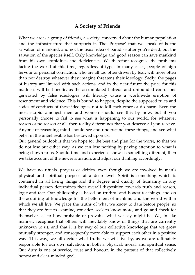#### **A Society of Friends**

What we are is a group of friends, a society, concerned about the human population and the infrastructure that supports it. The 'Purpose' that we speak of is the salvation of mankind, and not the usual idea of paradise after you're dead, but the salvation of the species itself. Only knowledge and good reason can save mankind from his own stupidities and deficiencies. We therefore recognise the problems facing the world at this time, regardless of type. In many cases, people of high fervour or personal conviction, who are all too often driven by fear, will more often than not destroy whatever they imagine threatens their ideology. Sadly, the pages of history are littered with such actions, and in the near future the price for this madness will be horrific, as the accumulated hatreds and unfounded confusions generated by false ideologies will literally cause a worldwide eruption of resentment and violence. This is bound to happen, despite the supposed rules and codes of conducts of these ideologies not to kill each other or do harm. Even the most stupid amongst men and women should see this by now, but if you personally choose to fail to see what is happening to our world, for whatever reason or no reason at all, then reality determines that you deserve all you receive. Anyone of reasoning mind should see and understand these things, and see what belief in the unbelievable has bestowed upon us.

Our general outlook is that we hope for the best and plan for the worst, so that we do not lose out either way, as we can lose nothing by paying attention to what is being shown to us. Should time and experience show us something different, then we take account of the newer situation, and adjust our thinking accordingly.

We have no rituals, prayers or deities, even though we are involved in man's physical and spiritual purpose at a deep level. Spirit is something which is contained in all living things and the degree and quality of humanity in any individual person determines their overall disposition towards truth and reason, logic and fact. Our philosophy is based on truthful and honest teachings, and on the acquiring of knowledge for the betterment of mankind and the world within which we all live. We place the truths of what we know to date before people, so that they are free to examine, consider, seek to know more, and go and check for themselves as to how probable or provable what we say might be. We, in like manner, recognise that others will inevitably know of things that are currently unknown to us, and that it is by way of our collective knowledge that we grow mutually stronger, and consequently more able to support each other in a positive way. This way, we all decide what truths we will live by, as we are ultimately responsible for our own salvation, in both a physical, moral, and spiritual sense. Our duty is one of service, trust and honour, in the pursuit of that collectively honest and clear-minded goal.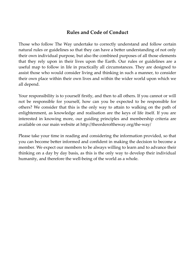#### **Rules and Code of Conduct**

Those who follow The Way undertake to correctly understand and follow certain natural rules or guidelines so that they can have a better understanding of not only their own individual purpose, but also the combined purposes of all those elements that they rely upon in their lives upon the Earth. Our rules or guidelines are a useful map to follow in life in practically all circumstances. They are designed to assist those who would consider living and thinking in such a manner, to consider their own place within their own lives and within the wider world upon which we all depend.

Your responsibility is to yourself firstly, and then to all others. If you cannot or will not be responsible for yourself, how can you be expected to be responsible for others? We consider that this is the only way to attain to walking on the path of enlightenment, as knowledge and realisation are the keys of life itself. If you are interested in knowing more, our guiding principles and membership criteria are available on our main website at http://theorderoftheway.org/the-way/

Please take your time in reading and considering the information provided, so that you can become better informed and confident in making the decision to become a member. We expect our members to be always willing to learn and to advance their thinking on a day by day basis, as this is the only way to develop their individual humanity, and therefore the well-being of the world as a whole.